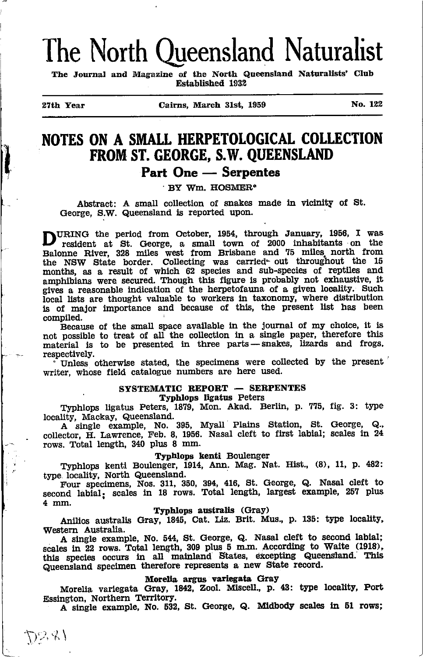# The North Queensland Naturalist

The Journal and Magazine of the North Queensland Naturalists' Club Established 1932

il

27th Year Cairns, March 31st, 1959 No. 122

## NOTES ON A SMALL HERPETOLOGICAL COLLECTION FROM ST. GEORGE, S.W. QUEENSLAND

### Part One Serpentes

L One — Serpe<br>BY Wm. HOSMER

Abstract: A small collection of snakes made in vicinity of St. George, S.W. Queensland is reported upon.

DURING the period from October, 1954, through January, 1956, I was resident at St. George, a small town of 2000 inhabitants on the Balonne River, 328 miles west from Brisbane and 75 miles north from the NSW State border. Collecting was carried- out throughout the 15 months, as a result of which 62 species and sub-species of reptiles and amphibians were secured. Though this figure is probably not exhaustive, it gives a reasonable indication of the herpetofauna of a given locality. Such local lists are thought valuable to workers in taxonomy, where distribution is of major importance and because of this, the present list has been compiled.

Because of the small space available in the journal of my choice, it is not possible to treat of all the collection in a single paper, therefore this material is to be presented in three parts-snakes, lizards and frogs, respectively.

 $\cdot$  Unless otherwise stated, the specimens were collected by the present writer, whose field catalogue numbers are here used.

### SYSTEMATIC REPORT – SERPENTES

## ATIC REPORT — SEI<br>Typhlops ligatus Peters

Typhlops ligatus Peters, 1879, Mon. Akad. Berlin, p. 775, fig. 3: type locality, Mackay, Queensland.

nty, Mackay, Queensiand.<br>A single example, No. 395, Myall Plains Station, St. George, Q. . collector, H. Lawrence, Feb. 8, 1956. Nasal cleft to first labial; scales in 24 rows. Total length, 340 plus 8 mm.

#### Typhlops kenti Boulenger

Typhlops kenti Boulenger, 1914, Ann. Mag. Nat. Hist., (8), 11, p. 482: type localitY, North Queensland.

Four specimens, Nos. 311, 350, 394, 416, St. George, Q. Nasal cleft to second labial; scales in 18 rows. Total length, largest example, 257 plus 4 mm.

#### Typhlops australis (Gray)

Anilios australis Gray, 1845, Cat. Liz. Brit. Mus., p. 135: type locality. Western Australia.

A single example, No. 544, St. George, Q. Nasal cleft to second labial; scales in 22 rows. Total length, 309 plus 5 m.m. According to Waite (1918), this species occurs in all mainland States, excepting Queensland. This Queensland specimen therefore represents a new State record.

#### Morelia argus varicgata GraY

Morelia variegata Gray, 1842, Zool. Miscell., p. 43: type locality, Port Essington, Northern Territory.

A single example, No. 532, St. George, Q. Midbody scales in 51 rows;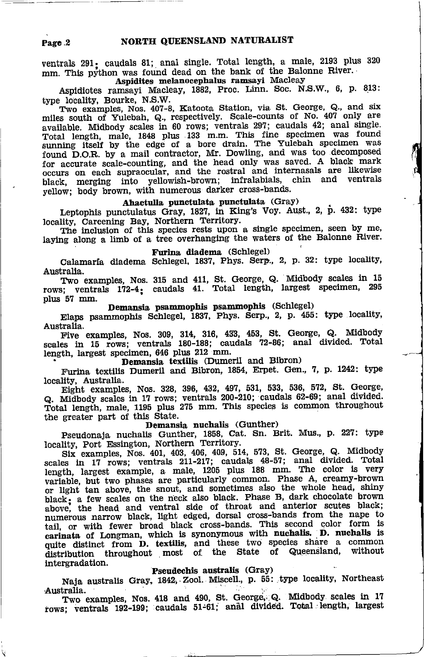ventrals 291: caudals 81; anal single. Total length, a male, 2193 plus 320 mm. This python was found dead on the bank of the Balonne River. Aspidites melanocephalus ramsayi Macleay

Aspidiotes ramsayi Macleay, 1882, Proc. Linn. Soc. N.S.W., 6, p. 813: type locality, Bourke, N.S.W.

Two examples, Nos. 407-8, Katoota Station, via St. George, Q., and six miles south of Yulebah, Q., respectively. Scale-counts of No. 407 only are available. Midbody scales in 60 rows; ventrals 297; caudals 42; anal single. Total length, male, 1848 plus 133 m.m. This fine specimen was found<br>sunning itself by the edge of a bore drain. The Yulebah specimen was<br>found D.O.R. by a mail contractor, Mr. Dowling, and was too decomposed for accurate scale-counting, and the head only was saved. A black mark occurs on each supraocular, and the rostral and internasals are likewise black, merging into yellowish-brown; infralabials, chin and ventrals yellow; body brown, with numerous darker cross-bands.

### Ahaetulla punctulata punctulata (Gray)

Leptophis punctulatus Gray, 1827, in King's Voy. Aust., 2, p. 432: type locality, Careening Bay, Northern Territory.

The inclusion of this species rests upon a single specimen, seen by me, laying along a limb of a tree overhanging the waters of the Balonne River.

#### Furina diadema (Schlegel)

Calamaría diadema Schlegel, 1837, Phys. Serp., 2, p. 32: type locality, Australia.

Two examples, Nos. 315 and 411, St. George, Q. Midbody scales in 15 rows; ventrals 172-4; caudals 41. Total length, largest specimen, 295 plus 57 mm.

Demansia psammophis psammophis (Schlegel)

Elaps psammophis Schlegel, 1837, Phys. Serp., 2, p. 455: type locality, Australia.

Five examples, Nos. 309, 314, 316, 433, 453, St. George, Q. Midbody scales in 15 rows; ventrals 180-188; caudals 72-86; anal divided. Total length, largest specimen, 646 plus 212 mm.

### Demansia textilis (Dumeril and Bibron)

Furina textilis Dumeril and Bibron, 1854, Erpet. Gen., 7, p. 1242: type locality, Australia.

Eight examples, Nos. 328, 396, 432, 497, 531, 533, 536, 572, St. George, Q. Midbody scales in 17 rows; ventrals 200-210; caudals 62-69; anal divided.<br>Total length, male, 1195 plus 275 mm. This species is common throughout<br>the greater part of this State.

#### Demansia nuchalis (Gunther)

Pseudonaja nuchalis Gunther, 1858, Cat. Sn. Brit. Mus., p. 227: type locality, Port Essington, Northern Territory.

Six examples, Nos. 401, 403, 406, 409, 514, 573, St. George, Q. Midbody scales in 17 rows; ventrals 211-217; caudals 48-57; anal divided. Total length, largest example, a male, 1205 plus 188 mm. The color is very variable, but two phases are particularly common. Phase A, creamy-brown or light tan above, the snout, and sometimes also the whole head, shiny black; a few scales on the neck also black. Phase B, dark chocolate brown above, the head and ventral side of throat and anterior scutes black; numerous narrow black, light edged, dorsal cross-bands from the nape to tail, or with fewer broad black cross-bands. This second color form is carinata of Longman, which is synonymous with nuchalis. D. nuchalis is quite distinct from **D.** textilis, and these two species share a common throughout most of the State of Queensland, without distribution intergradation.

#### Pseudechis australis (Gray)

Naja australis Gray, 1842, Zool. Miscell., p. 55: type locality, Northeast Australia.

Two examples, Nos. 418 and 490, St. George, Q. Midbody scales in 17 rows; ventrals 192-199; caudals 51-61; anal divided. Total length, largest

Page 2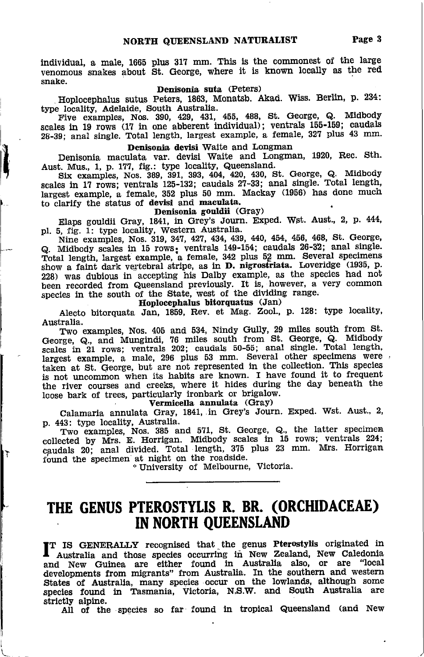individual, a male, 1665 plus 317 mm. This is the commonest of the large venomous snakes about St. George, where it is known locally as the red snake.

### Denisonia suta (Peters)

Hoplocephalus sutus Peters, 1863, Monatsb. Akad. Wiss. Berlin, p. 234:<br>type locality, Adelaide, South Australia.

Five examples, Nos. 390, 429, 431, 455, 488, St. George, Q. Midbody scales in 19 rows (17 in one abberent individual); ventrals 155-159; caudals 28-39; anal single. Total length, largest example, a female, 327 plus 43 mm.

#### Denisonia devisi Waite and Longman

Denisonia maculata var. devisi Waite and Longman, 1920. Rec. Sth.

Aust. Mus., 1, p. 177, fig.: type locality, Queensland.<br>Six examples, Nos. 389, 391, 393, 404, 420, 430, St. George, Q. Midbody<br>scales in 17 rows; ventrals 125-132; caudals 27-33; anal single. Total length largest example, a female, 352 plus 50 mm. Mackay (1956) has done much to clarify the status of devisi and maculata.

#### Denisonia gouldii (Gray)

Elaps gouldii Gray, 1841, in Grey's Journ. Exped. Wst. Aust., 2, p. 444, pl. 5, fig. 1: type locality, Western Australia.

Nine examples, Nos. 319, 347, 427, 434, 439, 440, 454, 456, 468, St. George, Q. Midbody scales in 15 rows: ventrals 149-154; caudals 26-32; anal single.<br>Total length, largest example, a female, 342 plus 52 mm. Several specimens show a faint dark vertebral stripe, as in D. nigrostriata. Loveridge (1935, p. 228) was dubious in accepting his Dalby example, as the species had not been recorded from Queensland previously. It is, however, a very common species in the south of the State, west of the dividing range. pecies in the south of the State, west of the dividir<br>Hoplocephalus bitorquatus (Jan)

Alecto bltorquata Jin, 1859, Rev. et Mag. Zool., p. 128: type locality' Australia.

Two examples, Nos. 405 and 534, Nindy Gully, 29 miles south from St. Two examples, ivos: 460 and 601, Kindy edaty, 81. George, Q. Midbody scales in 21 rows; ventrals 202; caudals 50-55; anal single, Total length, largest example, a male, 296 plus 53 mm. Several other specimens were taken at St. George, but are not represented in the collection. This species taken at  $\infty$ . George, but are hot represented in the concours. The special is not uncommon when its habits are known. I have found it to frequently Lhe river courses and creeks, where it hides during the day beneath the loose bark of trees, particularly ironbark or brigalow.<br>Vermicella annulata (Grav)

Calamaria annulata Gray, 1841, in Grey's Journ. Exped. Wst. Aust., 2, p. 443: type locality, Australia.

Two-examples, Nos. 385 and 571, St. George, Q., the latter speciments. collected by Mrs. E. Horrigan. Midbody scales in 15 rows; ventrals 224 caudals 20; anal divided. Total length, 375 plus 23 mm. Mrs. Horrigan found the specimen at night on the roadside.

IT

<sup>+</sup>University of Melbourne, Victoria.

### THE GENUS PTEROSTYUS R. BR. (oRCHIDACEAE) IN NORTH OUEENSLAND

fT IS GENERALLY recognised that-the genw Pterostylis origlnated in I Australia and those species occurring in New Zealand, New Caledonia and New Guinea are either found in Australia also, or are "local developments from migrants" from Australia. In the southern and western States of Australia, many species occur on the lowlands, although some species found in Tasmania, Victoria, N.S.W. and South Australia are strictly alpine.

All of the species so far found in tropical Queensland (and New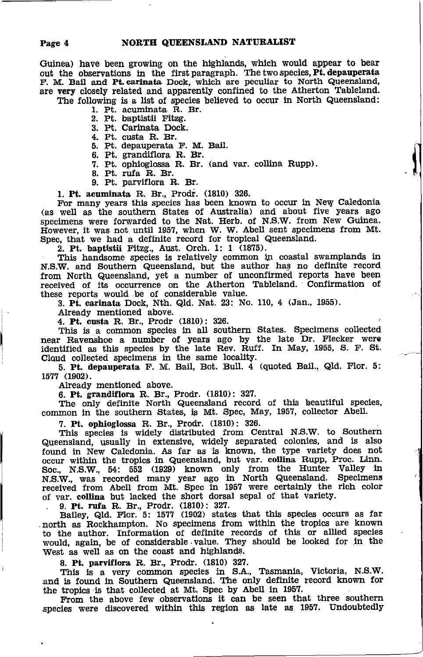Guinea) have been growing on the highlands, which would appear to bear out the observations in the first paragraph. The two species Pt. depauperata F. M. Bail and Pt. carinata Dock. which are peculiar to North Queensland. are very closely related and apparently confined to the Atherton Tableland. The following is a list of species believed to occur in North Queensland:

- 1. Pt. acuminata R. Br.<br>2. Pt. baptistii Fitzg.
	-
	- 3. Pt. Carinata Dock.
	- 4. Pt. custa R. Br.
	- 5. Pt. depauperata F. M. Bail.
	- 6. Pt. grandiflora R. Br.
	- 7. Pt. ophioglossa R. Br. (and var. collina Rupp).
- 8. Pt. rufa R. Br.
- 9. Pt. parviflora R. Br.

1. Pt. acuminata R. Br., Prodr. (1810) 326.

For many years this species has been known to occur in New Caledonia (as well as the southern States of Australia) and about five years ago specimens were forwarded to the Nat. Herb. of N.S.W. from New Guinea. However, it was not until 1957, when W. W. Abell sent specimens from Mt. Spec, that we had a definite record for tropical Queensland.

2. Pt. baptistii Fitzg., Aust. Orch. 1: 1 (1875).

This handsome species is relatively common in coastal swamplands in N.S.W. and Southern Queensland, but the author has no definite record from North Queensland, yet a number of unconfirmed reports have been received of its occurrence on the Atherton Tableland. Confirmation of these reports would be of considerable value.<br>3. Pt. carinata Dock, Nth. Qld. Nat. 23: No. 110, 4 (Jan., 1955).

Already mentioned above.

4. Pt. custa R. Br., Prodr (1810): 326.

This is a common species in all southern States. Specimens collected near Ravenshoe a number of years ago by the late Dr. Flecker were identified as this species by the late Rev. Ruff. In May, 1955, S. F. St. Cloud collected specimens in the same locality.

5. Pt. depauperata F. M. Bail, Bot. Bull. 4 (quoted Bail., Qld. Flor. 5: 1577 (1902).

Already mentioned above.

6. Pt. grandiflora R. Br., Prodr. (1810): 327.

The only definite North Queensland record of this beautiful species, common in the southern States, is Mt. Spec, May, 1957, collector Abell.

7. Pt. ophioglossa R. Br., Prodr. (1810): 326.

This species is widely distributed from Central N.S.W. to Southern Queensland, usually in extensive, widely separated colonies, and is also found in New Caledonia. As far as is known, the type variety does not occur within the tropics in Queensland, but var. collina Rupp, Proc. Linn. Soc., N.S.W., 54: 552 (1929) known only from the Hunter Valley in<br>N.S.W., was recorded many year ago in North Queensland. Specimens<br>received from Abell from Mt. Spec in 1957 were certainly the rich color of var. collina but lacked the short dorsal sepal of that variety.

9. Pt. rufa R. Br., Prodr. (1810): 327.<br>Bailey, Qld. Flor. 5: 1577 (1902) states that this species occurs as far north as Rockhampton. No specimens from within the tropics are known to the author. Information of definite records of this or allied species would, again, be of considerable value. They should be looked for in the West as well as on the coast and highlands.

8. Pt. parviflora R. Br., Prodr. (1810) 327.

This is a very common species in S.A., Tasmania, Victoria, N.S.W. and is found in Southern Queensland. The only definite record known for the tropics is that collected at Mt. Spec by Abell in 1957.

From the above few observations it can be seen that three southern species were discovered within this region as late as 1957. Undoubtedly

Page 4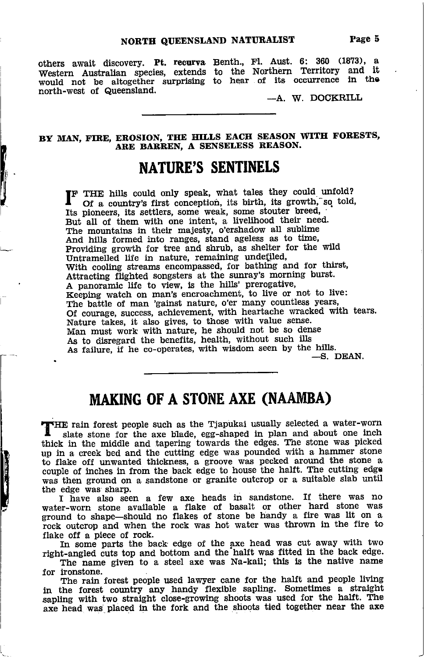others await discovery. Pt. recurva Benth., Fl. Aust. 6: 360 (1873), a Western Australian species, extends would not be altogether surprising north-west of Queensland. to the Northern Territory and it<br>to hear of its occurrence in the

 $-A.$  W. DOCKRILL

BY MAN, FIRE, EROSION, THE HILLS EACH SEASON WITH FORESTS, ARE BARREN, A SENSELESS REASON.

### NATURE'S SENTINELS

f

I

I

**F** THE hills could only speak, what tales they could unfold? Of a country's first conception, its birth, its growth, so told, Its pioneers, its settlers, some weak, some stouter breed, But all of them with one intent, a livelihood their need. The mountains in their majesty, o'ershadow all sublime And hills formed into ranges, stand ageless as to time, Providing growth for tree and shrub, as shelter tor the wild Untramelled life in nature, remaining undefiled, With cooling streams encompassed, for bathing and for thirst, Attracting flighted songsters at the sunray's morning burst. A panoramic life to view, is the hills' prerogative,<br>Keeping watch on man's encroachment, to live or not to live: The battle of man 'gainst nature, o'er many countless years, Of courage, success, achievement, with heartache wracked with tears. Nature takes, it also gives, to those with value sense. Man must work with nature, he should not be so dense As to disregard the benefits, health, without such ills As failure, if he co-operates, with wisdom seen by the hills.  $-$ S. DEAN.

### MAKING OF A STONE AXE (NAAMBA)

THE rain forest people such as the Tjapukai usually selected a water-worn I slate stone for the axe blade, egg-shaped in plan and about one inch thick in the middle and tapering towards the edges. The stone was picked up in a creek bed and the cutting edge was pounded with a hammer stone to flake off unwanted thickness, a groove was pecked around the stone <sup>a</sup> couple of inches in from the back edge to house the halft. The cutting edge was then ground on a sandstone or granite outcrop or a suitable slab until the edge was sharp.

I have also seen a few axe heads in sandstone. If there was no water-worn stone available a flake of basalt or other hard stone was ground to shape-should no flakes of stone be handy a fire was lit on <sup>a</sup> rock outcrop and when the rock was hot water was thrown in the fire to flake off a piece of rock.

In some parts the back edge of the axe head was cut away with two right-angled cuts top and bottom and the halft was fitted in the back edge.

The name given to a steel axe was Na-kail; this is the native name for ironstone.

The rain forest people used lawyer cane for the halft and people living in the forest country any handy flexible sapling. Sometimes a straight sapling with two straight close-growing shoots was used for the halft. The axe head was placed in the fork and the shoots tied together near the axe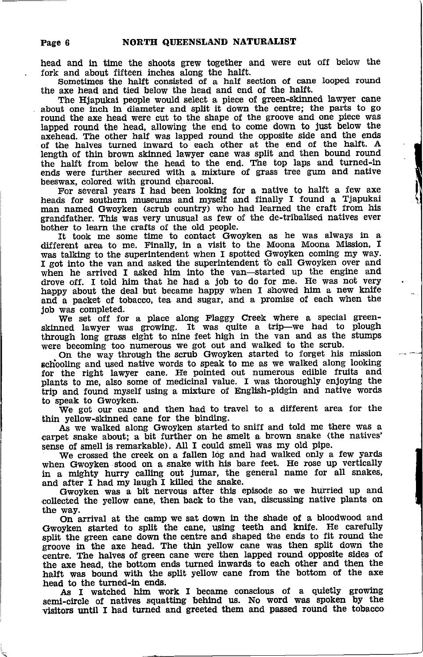head and in time the shoots grew together and were out off below the fork and about fifteen inches along the halft.

Sometimes the halft consisted of a half section of cane looped round the axe head and tied below the head and end of the halft.

The Hjapukai people would select a piece of green-skinned lawyer cane about one inch in diameter and split it down the centre; the parts to go round the axe head were cut to the shape of the groove and one piece was lapped round the head, allowing the end to come down to just below the axehead. The other half was lapped round the opposite side and the ends of the halves turned turward to each otber at the end of the halft. A length of thin brown skirned lawyer cane was split and then bound round the halft from below the head to the end. The top laps and turned-in ends were further secured with a mixture of grass tree gum and native beeswax, colored with ground charcoal.

For several years I had been looking for a native to halft a few axe heads for southern museums and myself and finally I found a Tiapukai man named Gwoyken (scrub country) who had learned the craft from his grandfather. This was very unusual as few of the de-tribalised natlves ever bother to learn the crafts of the old people.

ft took me some time to contact Gwoyken as he was always in a different area to me. Finally, in a visit to the Moona Moona Mission, I was talklng to the superintendent when I spotted Gwoyken coming my way. I got into the van and asked the superintendent to call Gwoyken over and when he arrived I asked him into the van-started up the engine and drove off. I told him that he had a job to do for me. He was not very happy about the deal but became happy when I showed him a new knife and a packet of tobacco, tea and sugar, and a promise of each when the job was completed.

We set off for a place along Flaggy Creek where a special greenskinned lawyer was growing. It was quite a trip-we had to plough through long grass eight to nine feet high in the van and as the stumps were becoming too numerous we got out and walked to the scrub.

On the way through the scrub Gwoyken started to forget his mission schooling and used native words to speak to me as we walked along looking for the right lawyer cane. He pointed out numerous edible fruits and plants to me, also some of medicinal value. I was thoroughly enjoying the trip and found myself using a mixture of English-pidgin and native words to speak to Gwoyken.

We got our cane and then had to travel to a different area for the thin yellow-skinned cane for the binding.

As we walked along Gwoyken started to sniff and told me there was a carpet snake about; a bit further on he smelt a brown snake (the natives' sense of smell is remarkable). All I could smell was my old pipe.

We crossed the creek on a fallen log and had walked only a few yards when Gwoyken stood on a snake with his bare feet. He rose up vertically which dwoysen sood on a shake with his save foot. It's teast up the straining in a mighty hurry calling out jumar, the general name for all snakes and after I had my laugh I killed the snake.

Gwoyken was a bit nervous after this episode so we hurried up and collected the yellow cane, then back to the van, discussing native plants on the way,

On arrival at the camp we sat down in the shade of a bloodwood and 'Gwoyken started to split the cane, using teeth and knlfe. He carefully split the green cane down the centre and shaped the ends to fit round the groove in the axe head. The thin yellow cane was then split down the centre. The halves of green cane were then lapped round opposite sides of the axe head, the bottom ends turned inwards to each other and then the halft was bound with the split yellow cane from the bottom of the axe head to the turned-in ends.

As I watched him work I became conscious of a quietly growing semi-circle of natives squatting behind us. No word was spoken by the visitors until I had turned and greeted them and passed round the tobacco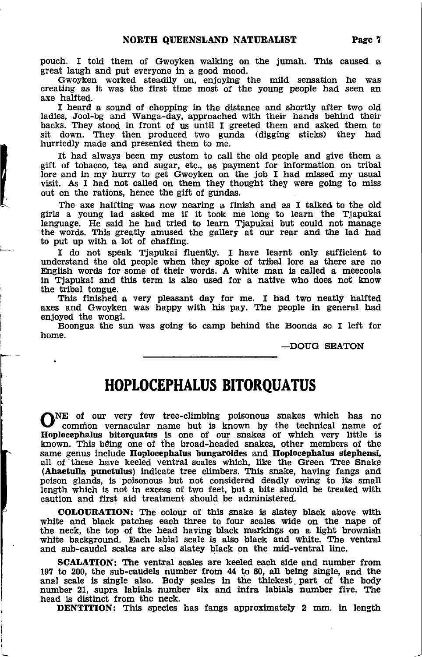pouch. I told them of cwoyken walking on the Jumah. This caused a great laugh and put everyone in a good mood.

Gwoyken worked steadlly on, enJoying the mild sensation he was creating as it was the first tlme most of the young people had seen an

I heard a sound of chopping in the distance and shortly after two old ladies, Jool-bg and Wanga-day, approached with thelr hands behlnd their backs. They stood in front of us until I greeted them and asked them to sit down. They then produced two gunda (digging sticks) they had hurriedly made and presented them to me.

It had always been my custom to call the old people and give them <sup>a</sup> gift of tobacco, tea and sugar, etc., as payment for information on tribal lore and in my hurry to get Gwoyken on the job I had missed my usual visit. As I had not called on them they thought they were going to miss out on the rations, hence the gift of gundas.

The axe halfting was now nearing a finish and as I talked to the old girls a young lad asked me if it took me long to learn the Tjapukai language. He said he had tried to learn Tjapukai but could not manage the words. This greatly amused the gallery at our rear and the lad had to put up with a lot of chaffing.

I do not speak Tjapukai fluently. I have learnt only sufficient to understand the old people when they spoke of trlbal lore as there are no English words for some of their words. A white man is called a meecoola in Tiapukai and this term is also used for a native who does not know the tribal tongue.

Thls flnlshed a very pleasant day for me. I had two neatly halfted axes and Gwoyken was happy with his pay. The people in general had enjoyed the wongi.

Boongua the sun was going to camp behind the Boonda so I left for home.

\_DOUG SEATON

## HOPLOCEPHALUS BITOROUATUS

ONE of our very few tree-climbing poisonous snakes which has no common vernacular name but is known by the technical name of Eoplocephalus bitorquatus is one of our snakes of which very little is known. Thls bding one of the broad-headed snakes, other members of the same genus include Hoplocephalus bungaroides and Hoplocephalus stephensi, all of these have keeled ventral scales which, like the Green Tree Snake (Ahaetulla punctulus) indicate tree climbers. This snake, having fangs and poison glands, is poisonow but not consldered deadly owlng to its small length which is not in excess of two feet, but a bite should be treated with caution and first aid treatment should be administered.

COLOURATION: The colour of this snake is slatey black above with whlte and black patches each three to four scales wlde on the nape of the neck, the top of the head having black markings on a light brownish whlte background. Each labial scale ls also black and white. The ventral and sub-eaudel scales are also slatey black on the mid-ventral line.

SCALATION: The ventral scales are keeled each slde and number from 197 to 200, the sub-caudels number from  $44$  to 60, all being single, and the anal scale is single also. Body scales in the thickest part of the body number 21, supra labials number six and infra labials number five. The head is distinct from the neck.

DENTITION: This species has fangs approximately 2 mm. in length